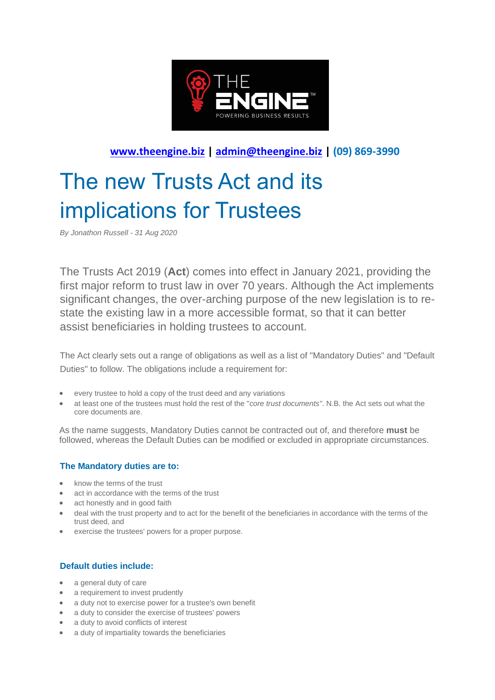

## **[www.theengine.biz](http://www.theengine.biz/) | [admin@theengine.biz](mailto:admin@theengine.biz) | (09) 869-3990**

# The new Trusts Act and its implications for Trustees

*By Jonathon Russell - 31 Aug 2020*

The Trusts Act 2019 (**Act**) comes into effect in January 2021, providing the first major reform to trust law in over 70 years. Although the Act implements significant changes, the over-arching purpose of the new legislation is to restate the existing law in a more accessible format, so that it can better assist beneficiaries in holding trustees to account.

The Act clearly sets out a range of obligations as well as a list of "Mandatory Duties" and "Default Duties" to follow. The obligations include a requirement for:

- every trustee to hold a copy of the trust deed and any variations
- at least one of the trustees must hold the rest of the "*core trust documents"*. N.B. the Act sets out what the core documents are.

As the name suggests, Mandatory Duties cannot be contracted out of, and therefore **must** be followed, whereas the Default Duties can be modified or excluded in appropriate circumstances.

#### **The Mandatory duties are to:**

- know the terms of the trust
- act in accordance with the terms of the trust
- act honestly and in good faith
- deal with the trust property and to act for the benefit of the beneficiaries in accordance with the terms of the trust deed, and
- exercise the trustees' powers for a proper purpose.

#### **Default duties include:**

- a general duty of care
- a requirement to invest prudently
- a duty not to exercise power for a trustee's own benefit
- a duty to consider the exercise of trustees' powers
- a duty to avoid conflicts of interest
- a duty of impartiality towards the beneficiaries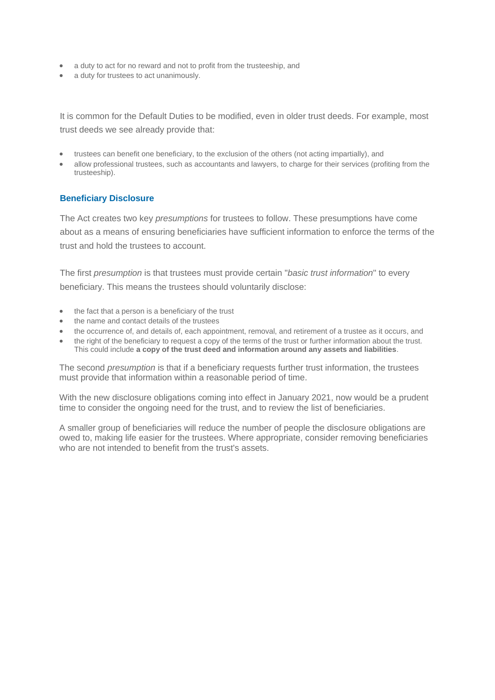- a duty to act for no reward and not to profit from the trusteeship, and
- a duty for trustees to act unanimously.

It is common for the Default Duties to be modified, even in older trust deeds. For example, most trust deeds we see already provide that:

- trustees can benefit one beneficiary, to the exclusion of the others (not acting impartially), and
- allow professional trustees, such as accountants and lawyers, to charge for their services (profiting from the trusteeship).

#### **Beneficiary Disclosure**

The Act creates two key *presumptions* for trustees to follow. These presumptions have come about as a means of ensuring beneficiaries have sufficient information to enforce the terms of the trust and hold the trustees to account.

The first *presumption* is that trustees must provide certain "*basic trust information*" to every beneficiary. This means the trustees should voluntarily disclose:

- the fact that a person is a beneficiary of the trust
- the name and contact details of the trustees
- the occurrence of, and details of, each appointment, removal, and retirement of a trustee as it occurs, and
- the right of the beneficiary to request a copy of the terms of the trust or further information about the trust. This could include **a copy of the trust deed and information around any assets and liabilities**.

The second *presumption* is that if a beneficiary requests further trust information, the trustees must provide that information within a reasonable period of time.

With the new disclosure obligations coming into effect in January 2021, now would be a prudent time to consider the ongoing need for the trust, and to review the list of beneficiaries.

A smaller group of beneficiaries will reduce the number of people the disclosure obligations are owed to, making life easier for the trustees. Where appropriate, consider removing beneficiaries who are not intended to benefit from the trust's assets.